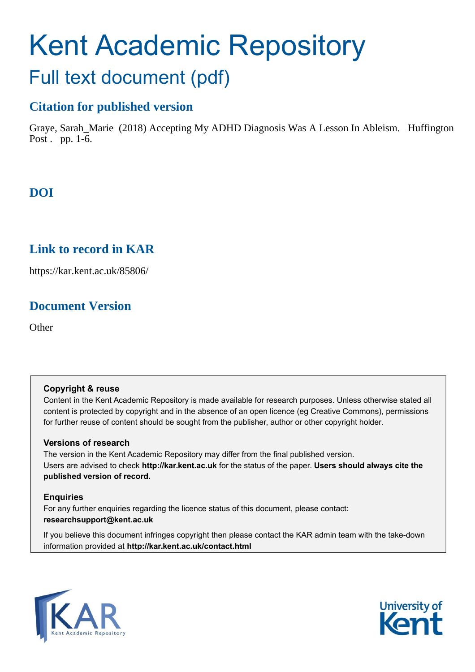# Kent Academic Repository Full text document (pdf)

# **Citation for published version**

Graye, Sarah\_Marie (2018) Accepting My ADHD Diagnosis Was A Lesson In Ableism. Huffington Post . pp. 1-6.

# **DOI**

# **Link to record in KAR**

https://kar.kent.ac.uk/85806/

# **Document Version**

**Other** 

#### **Copyright & reuse**

Content in the Kent Academic Repository is made available for research purposes. Unless otherwise stated all content is protected by copyright and in the absence of an open licence (eg Creative Commons), permissions for further reuse of content should be sought from the publisher, author or other copyright holder.

#### **Versions of research**

The version in the Kent Academic Repository may differ from the final published version. Users are advised to check **http://kar.kent.ac.uk** for the status of the paper. **Users should always cite the published version of record.**

#### **Enquiries**

For any further enquiries regarding the licence status of this document, please contact: **researchsupport@kent.ac.uk**

If you believe this document infringes copyright then please contact the KAR admin team with the take-down information provided at **http://kar.kent.ac.uk/contact.html**



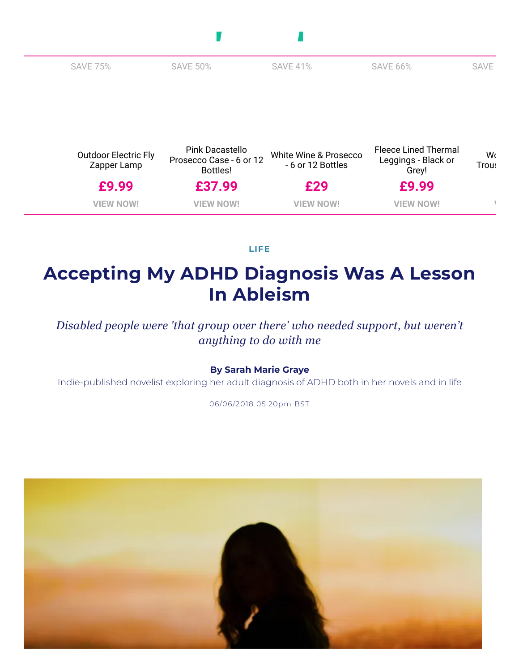| <b>SAVE 75%</b>                            | <b>SAVE 50%</b>                                        | <b>SAVE 41%</b>                            | <b>SAVE 66%</b>                                             | <b>SAVE</b> |
|--------------------------------------------|--------------------------------------------------------|--------------------------------------------|-------------------------------------------------------------|-------------|
|                                            |                                                        |                                            |                                                             |             |
|                                            |                                                        |                                            |                                                             |             |
|                                            |                                                        |                                            |                                                             |             |
|                                            |                                                        |                                            |                                                             |             |
| <b>Outdoor Electric Fly</b><br>Zapper Lamp | Pink Dacastello<br>Prosecco Case - 6 or 12<br>Bottles! | White Wine & Prosecco<br>- 6 or 12 Bottles | <b>Fleece Lined Thermal</b><br>Leggings - Black or<br>Grey! | W٢<br>Trou: |
| £9.99                                      | £37.99                                                 | £29                                        | £9.99                                                       |             |
|                                            |                                                        |                                            |                                                             |             |

П

 $\mathcal{L}_{\mathcal{A}}$ 

**[LIFE](https://www.huffingtonpost.co.uk/lifestyle/)**

# **Accepting My ADHD Diagnosis Was A Lesson In Ableism**

*Disabled people were 'that group over there' who needed support, but weren't anything to do with me*

#### **By Sarah Marie [Graye](https://www.huffingtonpost.co.uk/author/sarah-marie-graye)**

Indie-published novelist exploring her adult diagnosis of ADHD both in her novels and in life

06/06/2018 05:20pm BST

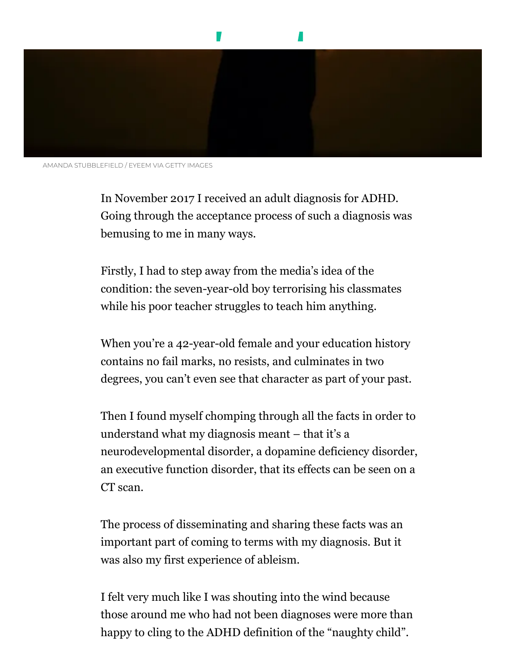



AMANDA STUBBLEFIELD / EYEEM VIA GETTY IMAGES

In November 2017 I received an adult diagnosis for ADHD. Going through the acceptance process of such a diagnosis was bemusing to me in many ways.

Firstly, I had to step away from the media's idea of the condition: the seven-year-old boy terrorising his classmates while his poor teacher struggles to teach him anything.

When you're a 42-year-old female and your education history contains no fail marks, no resists, and culminates in two degrees, you can't even see that character as part of your past.

Then I found myself chomping through all the facts in order to understand what my diagnosis meant – that it's a neurodevelopmental disorder, a dopamine deficiency disorder, an executive function disorder, that its effects can be seen on a CT scan.

The process of disseminating and sharing these facts was an important part of coming to terms with my diagnosis. But it was also my first experience of ableism.

I felt very much like I was shouting into the wind because those around me who had not been diagnoses were more than happy to cling to the ADHD definition of the "naughty child".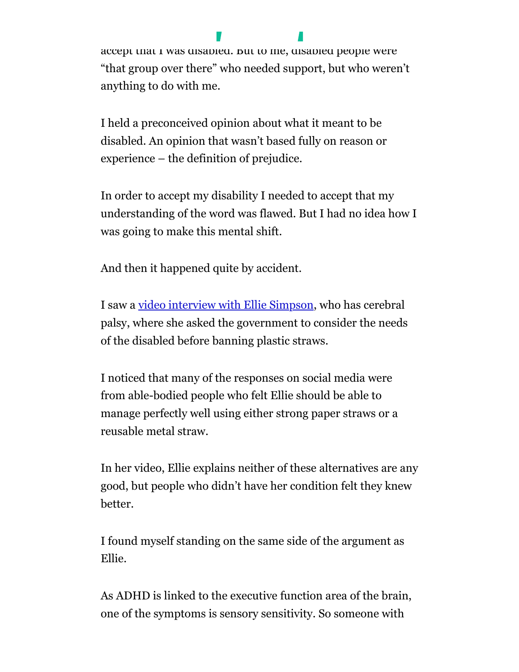accept that I was disabled. But to me, disabled people were "that group over there" who needed support, but who weren't anything to do with me.

My second experience [of ableism was of](https://www.huffingtonpost.co.uk/) my own. I needed to

I held a preconceived opinion about what it meant to be disabled. An opinion that wasn't based fully on reason or experience – the definition of prejudice.

In order to accept my disability I needed to accept that my understanding of the word was flawed. But I had no idea how I was going to make this mental shift.

And then it happened quite by accident.

I saw a [video interview with Ellie Simpson](https://www.bbc.co.uk/news/av/uk-england-derbyshire-43879489/plastic-straws-call-for-government-to-rethink-policy), who has cerebral palsy, where she asked the government to consider the needs of the disabled before banning plastic straws.

I noticed that many of the responses on social media were from able-bodied people who felt Ellie should be able to manage perfectly well using either strong paper straws or a reusable metal straw.

In her video, Ellie explains neither of these alternatives are any good, but people who didn't have her condition felt they knew better.

I found myself standing on the same side of the argument as Ellie.

As ADHD is linked to the executive function area of the brain, one of the symptoms is sensory sensitivity. So someone with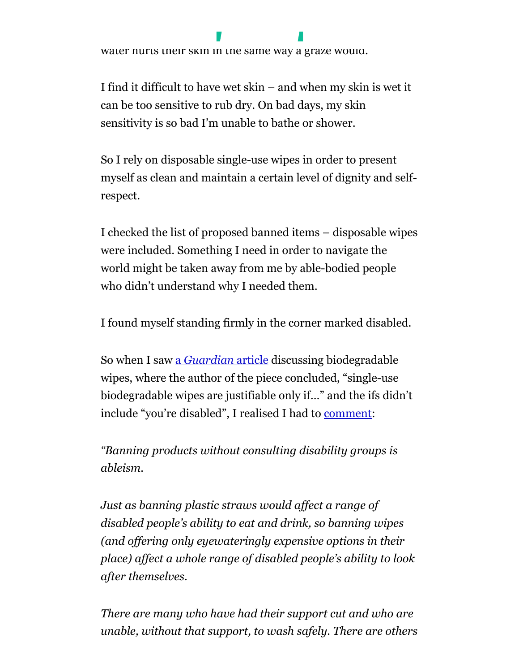

the condition can over[heat when it's too](https://www.huffingtonpost.co.uk/) noisy, or find that

I find it difficult to have wet skin – and when my skin is wet it can be too sensitive to rub dry. On bad days, my skin sensitivity is so bad I'm unable to bathe or shower.

So I rely on disposable single-use wipes in order to present myself as clean and maintain a certain level of dignity and selfrespect.

I checked the list of proposed banned items – disposable wipes were included. Something I need in order to navigate the world might be taken away from me by able-bodied people who didn't understand why I needed them.

I found myself standing firmly in the corner marked disabled.

So when I saw a *[Guardian](https://www.theguardian.com/fashion/2018/jun/02/best-biodegradable-cleansing-wipes-beauty-sali-hughes)* article discussing biodegradable wipes, where the author of the piece concluded, "single-use biodegradable wipes are justifiable only if…" and the ifs didn't include "you're disabled", I realised I had to [comment:](https://www.theguardian.com/fashion/2018/jun/02/best-biodegradable-cleansing-wipes-beauty-sali-hughes#comment-116533006)

*"Banning products without consulting disability groups is ableism.*

*Just as banning plastic straws would affect a range of disabled people's ability to eat and drink, so banning wipes (and offering only eyewateringly expensive options in their place) affect a whole range of disabled people's ability to look after themselves.*

*There are many who have had their support cut and who are unable, without that support, to wash safely. There are others*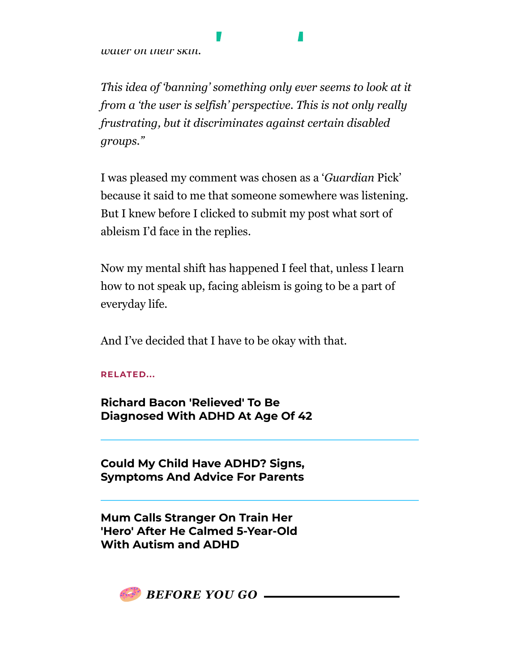*water on their skin.*

*This idea of 'banning' something only ever seems to look at it from a 'the user is selfish' perspective. This is not only really frustrating, but it discriminates against certain disabled groups."*

*with sensory sensitivit[y issues who can't](https://www.huffingtonpost.co.uk/) bear the feeling of*

I was pleased my comment was chosen as a '*Guardian* Pick' because it said to me that someone somewhere was listening. But I knew before I clicked to submit my post what sort of ableism I'd face in the replies.

Now my mental shift has happened I feel that, unless I learn how to not speak up, facing ableism is going to be a part of everyday life.

And I've decided that I have to be okay with that.

**RELATED...**

**Richard Bacon 'Relieved' To Be [Diagnosed With](https://www.huffingtonpost.co.uk/entry/richard-bacon-adhd-diagnosis_uk_5ab8bcede4b0decad04ba339) ADHD At Age Of 42**

**Could My Child Have ADHD? Signs, Symptoms [And Advice](https://www.huffingtonpost.co.uk/entry/adhd-diagnosis-in-children_uk_59fc593de4b01b474049b879) For Parents**

**Mum Calls Stranger On Train Her 'Hero' After He [Calmed 5-Year-Old](https://www.huffingtonpost.co.uk/entry/stranger-help-parent-child-autism-train_uk_59d73eb1e4b072637c433600) With Autism and ADHD**